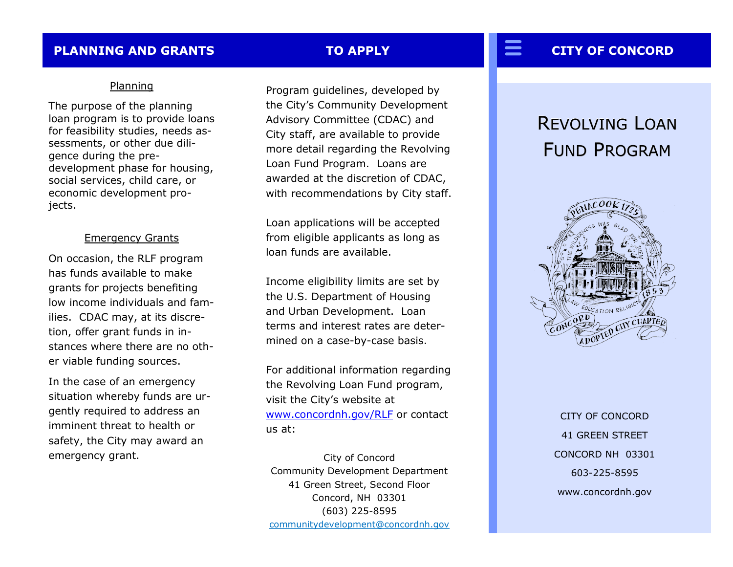### **PLANNING AND GRANTS TO APPLY**

### Planning

The purpose of the planning loan program is to provide loans for feasibility studies, needs assessments, or other due diligence during the predevelopment phase for housing, social services, child care, or economic development projects.

### Emergency Grants

On occasion, the RLF program has funds available to make grants for projects benefiting low income individuals and families. CDAC may, at its discretion, offer grant funds in instances where there are no other viable funding sources.

In the case of an emergency situation whereby funds are urgently required to address an imminent threat to health or safety, the City may award an emergency grant.

Program guidelines, developed by the City's Community Development Advisory Committee (CDAC) and City staff, are available to provide more detail regarding the Revolving Loan Fund Program. Loans are awarded at the discretion of CDAC, with recommendations by City staff.

Loan applications will be accepted from eligible applicants as long as loan funds are available.

Income eligibility limits are set by the U.S. Department of Housing and Urban Development. Loan terms and interest rates are determined on a case-by-case basis.

For additional information regarding the Revolving Loan Fund program, visit the City's website at [www.concordnh.gov/RLF](http://www.concordnh.gov/index.aspx?nid=356) or contact us at:

City of Concord Community Development Department 41 Green Street, Second Floor Concord, NH 03301 (603) 225-8595 [communitydevelopment@concordnh.gov](mailto:communitydevelopment@concordnh.gov?subject=Revolving%20Loan%20Fund%20Inquiry)

# **CITY OF CONCORD**

# REVOLVING LOAN FUND PROGRAM



CITY OF CONCORD 41 GREEN STREET CONCORD NH 03301 603-225-8595 www.concordnh.gov